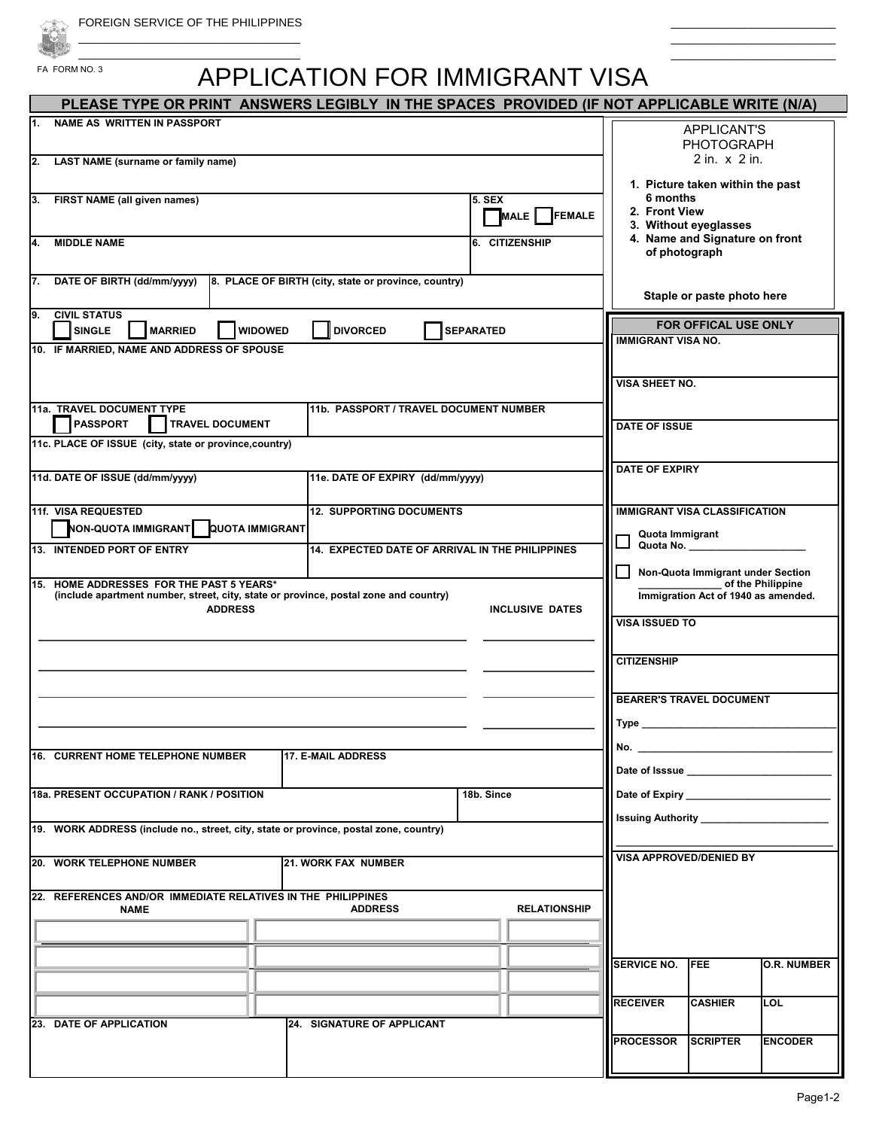FA FORM NO. 3 \_\_\_\_\_\_\_\_\_\_\_\_\_\_\_\_\_\_\_\_\_\_\_\_\_\_\_\_\_\_\_\_\_\_\_

## APPLICATION FOR IMMIGRANT VISA

| PLEASE TYPE OR PRINT ANSWERS LEGIBLY IN THE SPACES PROVIDED (IF NOT APPLICABLE WRITE (N/A)                                       |                                                      |            |                                                   |                                                                                                                                                                                                                                     |                                                        |                    |  |
|----------------------------------------------------------------------------------------------------------------------------------|------------------------------------------------------|------------|---------------------------------------------------|-------------------------------------------------------------------------------------------------------------------------------------------------------------------------------------------------------------------------------------|--------------------------------------------------------|--------------------|--|
| <b>NAME AS WRITTEN IN PASSPORT</b><br>1.                                                                                         |                                                      |            |                                                   |                                                                                                                                                                                                                                     | <b>APPLICANT'S</b><br><b>PHOTOGRAPH</b>                |                    |  |
| 2. LAST NAME (surname or family name)                                                                                            |                                                      |            |                                                   |                                                                                                                                                                                                                                     | $2$ in. $\times$ $2$ in.                               |                    |  |
|                                                                                                                                  |                                                      |            |                                                   |                                                                                                                                                                                                                                     | 1. Picture taken within the past                       |                    |  |
| 3. FIRST NAME (all given names)<br><b>5. SEX</b><br>FEMALE<br>MALE I                                                             |                                                      |            |                                                   | 6 months<br>2. Front View<br>3. Without eyeglasses                                                                                                                                                                                  |                                                        |                    |  |
| 4.<br><b>MIDDLE NAME</b><br>6. CITIZENSHIP                                                                                       |                                                      |            |                                                   |                                                                                                                                                                                                                                     | 4. Name and Signature on front<br>of photograph        |                    |  |
| 7. DATE OF BIRTH (dd/mm/yyyy)                                                                                                    | 8. PLACE OF BIRTH (city, state or province, country) |            |                                                   |                                                                                                                                                                                                                                     | Staple or paste photo here                             |                    |  |
| <b>CIVIL STATUS</b><br>9.<br><b>SINGLE</b><br><b>MARRIED</b><br><b>WIDOWED</b><br><b>DIVORCED</b><br><b>SEPARATED</b>            |                                                      |            | FOR OFFICAL USE ONLY<br><b>IMMIGRANT VISA NO.</b> |                                                                                                                                                                                                                                     |                                                        |                    |  |
| 10. IF MARRIED, NAME AND ADDRESS OF SPOUSE                                                                                       |                                                      |            |                                                   |                                                                                                                                                                                                                                     |                                                        |                    |  |
|                                                                                                                                  |                                                      |            |                                                   | <b>VISA SHEET NO.</b>                                                                                                                                                                                                               |                                                        |                    |  |
| 11a. TRAVEL DOCUMENT TYPE<br>11b. PASSPORT / TRAVEL DOCUMENT NUMBER                                                              |                                                      |            |                                                   |                                                                                                                                                                                                                                     |                                                        |                    |  |
| <b>PASSPORT</b><br><b>TRAVEL DOCUMENT</b>                                                                                        |                                                      |            |                                                   |                                                                                                                                                                                                                                     | <b>DATE OF ISSUE</b>                                   |                    |  |
| 11c. PLACE OF ISSUE (city, state or province, country)                                                                           |                                                      |            |                                                   |                                                                                                                                                                                                                                     |                                                        |                    |  |
| 11d. DATE OF ISSUE (dd/mm/yyyy)<br>11e. DATE OF EXPIRY (dd/mm/yyyy)                                                              |                                                      |            |                                                   | <b>DATE OF EXPIRY</b>                                                                                                                                                                                                               |                                                        |                    |  |
| 11f. VISA REQUESTED<br><b>12. SUPPORTING DOCUMENTS</b>                                                                           |                                                      |            |                                                   | <b>IMMIGRANT VISA CLASSIFICATION</b>                                                                                                                                                                                                |                                                        |                    |  |
| NON-QUOTA IMMIGRANT QUOTA IMMIGRANT                                                                                              |                                                      |            |                                                   | Quota Immigrant                                                                                                                                                                                                                     |                                                        |                    |  |
| 14. EXPECTED DATE OF ARRIVAL IN THE PHILIPPINES<br>13. INTENDED PORT OF ENTRY                                                    |                                                      |            |                                                   | Quota No.                                                                                                                                                                                                                           |                                                        |                    |  |
| l 1<br>15. HOME ADDRESSES FOR THE PAST 5 YEARS*                                                                                  |                                                      |            |                                                   |                                                                                                                                                                                                                                     | Non-Quota Immigrant under Section<br>of the Philippine |                    |  |
| (include apartment number, street, city, state or province, postal zone and country)<br><b>ADDRESS</b><br><b>INCLUSIVE DATES</b> |                                                      |            |                                                   | Immigration Act of 1940 as amended.                                                                                                                                                                                                 |                                                        |                    |  |
|                                                                                                                                  |                                                      |            |                                                   | <b>VISA ISSUED TO</b>                                                                                                                                                                                                               |                                                        |                    |  |
|                                                                                                                                  |                                                      |            |                                                   | <b>CITIZENSHIP</b>                                                                                                                                                                                                                  |                                                        |                    |  |
|                                                                                                                                  |                                                      |            |                                                   |                                                                                                                                                                                                                                     |                                                        |                    |  |
|                                                                                                                                  |                                                      |            |                                                   | <b>BEARER'S TRAVEL DOCUMENT</b><br>Type                                                                                                                                                                                             |                                                        |                    |  |
|                                                                                                                                  |                                                      |            |                                                   | No. _                                                                                                                                                                                                                               |                                                        |                    |  |
| 16. CURRENT HOME TELEPHONE NUMBER                                                                                                | <b>17. E-MAIL ADDRESS</b>                            |            |                                                   | Date of Isssue <b>Date of Languary 1996</b>                                                                                                                                                                                         |                                                        |                    |  |
| 18a. PRESENT OCCUPATION / RANK / POSITION                                                                                        |                                                      | 18b. Since |                                                   | Date of Expiry <b>Example 20</b> Pate 20 Pate 20 Pate 20 Pate 20 Pate 20 Pate 20 Pate 20 Pate 20 Pate 20 Pate 20 Pate 20 Pate 20 Pate 20 Pate 20 Pate 20 Pate 20 Pate 20 Pate 20 Pate 20 Pate 20 Pate 20 Pate 20 Pate 20 Pate 20 Pa |                                                        |                    |  |
| 19. WORK ADDRESS (include no., street, city, state or province, postal zone, country)                                            |                                                      |            |                                                   | <b>Issuing Authority</b>                                                                                                                                                                                                            |                                                        |                    |  |
|                                                                                                                                  |                                                      |            |                                                   | <b>VISA APPROVED/DENIED BY</b>                                                                                                                                                                                                      |                                                        |                    |  |
| 20. WORK TELEPHONE NUMBER                                                                                                        | <b>21. WORK FAX NUMBER</b>                           |            |                                                   |                                                                                                                                                                                                                                     |                                                        |                    |  |
| 22. REFERENCES AND/OR IMMEDIATE RELATIVES IN THE PHILIPPINES<br><b>NAME</b>                                                      | <b>ADDRESS</b>                                       |            | <b>RELATIONSHIP</b>                               |                                                                                                                                                                                                                                     |                                                        |                    |  |
|                                                                                                                                  |                                                      |            |                                                   |                                                                                                                                                                                                                                     |                                                        |                    |  |
|                                                                                                                                  |                                                      |            |                                                   | <b>SERVICE NO.</b>                                                                                                                                                                                                                  | <b>FEE</b>                                             | <b>O.R. NUMBER</b> |  |
|                                                                                                                                  |                                                      |            |                                                   |                                                                                                                                                                                                                                     |                                                        |                    |  |
|                                                                                                                                  |                                                      |            |                                                   | <b>RECEIVER</b>                                                                                                                                                                                                                     | <b>CASHIER</b>                                         | LOL                |  |
| <b>23. DATE OF APPLICATION</b>                                                                                                   | 24. SIGNATURE OF APPLICANT                           |            |                                                   |                                                                                                                                                                                                                                     |                                                        |                    |  |
|                                                                                                                                  |                                                      |            |                                                   | <b>PROCESSOR</b>                                                                                                                                                                                                                    | <b>SCRIPTER</b>                                        | <b>ENCODER</b>     |  |
|                                                                                                                                  |                                                      |            |                                                   |                                                                                                                                                                                                                                     |                                                        |                    |  |

 $\_$  $\_$  $\overline{\phantom{a}}$  , and the set of the set of the set of the set of the set of the set of the set of the set of the set of the set of the set of the set of the set of the set of the set of the set of the set of the set of the s